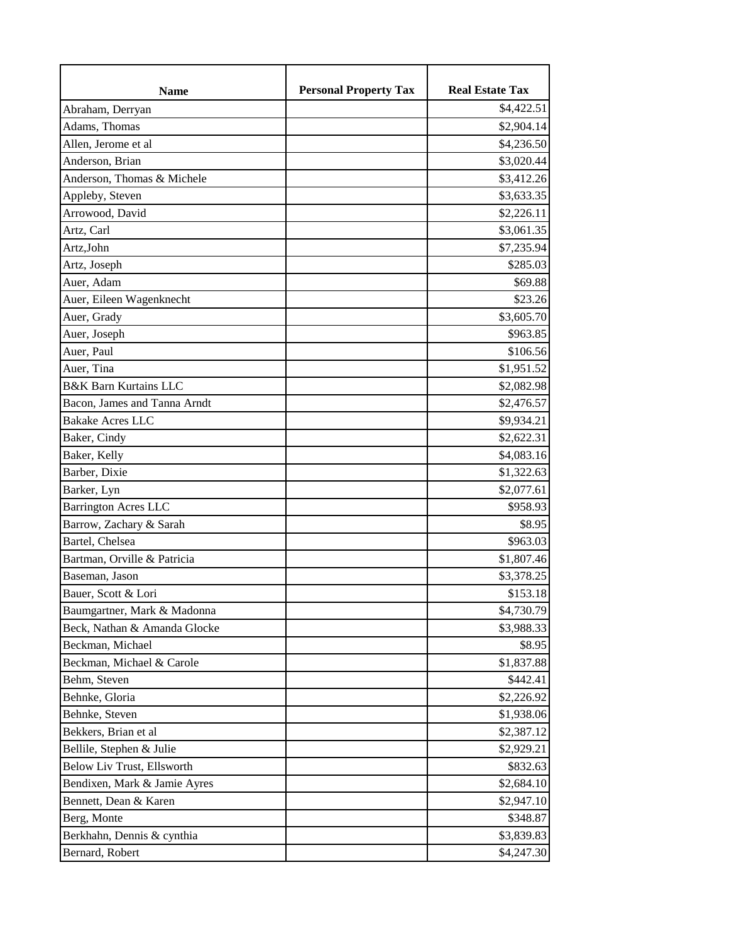| <b>Name</b>                      | <b>Personal Property Tax</b> | <b>Real Estate Tax</b> |
|----------------------------------|------------------------------|------------------------|
| Abraham, Derryan                 |                              | \$4,422.51             |
| Adams, Thomas                    |                              | \$2,904.14             |
| Allen, Jerome et al              |                              | \$4,236.50             |
| Anderson, Brian                  |                              | \$3,020.44             |
| Anderson, Thomas & Michele       |                              | \$3,412.26             |
| Appleby, Steven                  |                              | \$3,633.35             |
| Arrowood, David                  |                              | \$2,226.11             |
| Artz, Carl                       |                              | \$3,061.35             |
| Artz,John                        |                              | \$7,235.94             |
| Artz, Joseph                     |                              | \$285.03               |
| Auer, Adam                       |                              | \$69.88                |
| Auer, Eileen Wagenknecht         |                              | \$23.26                |
| Auer, Grady                      |                              | \$3,605.70             |
| Auer, Joseph                     |                              | \$963.85               |
| Auer, Paul                       |                              | \$106.56               |
| Auer, Tina                       |                              | \$1,951.52             |
| <b>B&amp;K Barn Kurtains LLC</b> |                              | \$2,082.98             |
| Bacon, James and Tanna Arndt     |                              | \$2,476.57             |
| <b>Bakake Acres LLC</b>          |                              | \$9,934.21             |
| Baker, Cindy                     |                              | \$2,622.31             |
| Baker, Kelly                     |                              | \$4,083.16             |
| Barber, Dixie                    |                              | \$1,322.63             |
| Barker, Lyn                      |                              | \$2,077.61             |
| <b>Barrington Acres LLC</b>      |                              | \$958.93               |
| Barrow, Zachary & Sarah          |                              | \$8.95                 |
| Bartel, Chelsea                  |                              | \$963.03               |
| Bartman, Orville & Patricia      |                              | \$1,807.46             |
| Baseman, Jason                   |                              | \$3,378.25             |
| Bauer, Scott & Lori              |                              | \$153.18               |
| Baumgartner, Mark & Madonna      |                              | \$4,730.79             |
| Beck, Nathan & Amanda Glocke     |                              | \$3,988.33             |
| Beckman, Michael                 |                              | \$8.95                 |
| Beckman, Michael & Carole        |                              | \$1,837.88             |
| Behm, Steven                     |                              | \$442.41               |
| Behnke, Gloria                   |                              | \$2,226.92             |
| Behnke, Steven                   |                              | \$1,938.06             |
| Bekkers, Brian et al             |                              | \$2,387.12             |
| Bellile, Stephen & Julie         |                              | \$2,929.21             |
| Below Liv Trust, Ellsworth       |                              | \$832.63               |
| Bendixen, Mark & Jamie Ayres     |                              | \$2,684.10             |
| Bennett, Dean & Karen            |                              | \$2,947.10             |
| Berg, Monte                      |                              | \$348.87               |
| Berkhahn, Dennis & cynthia       |                              | \$3,839.83             |
| Bernard, Robert                  |                              | \$4,247.30             |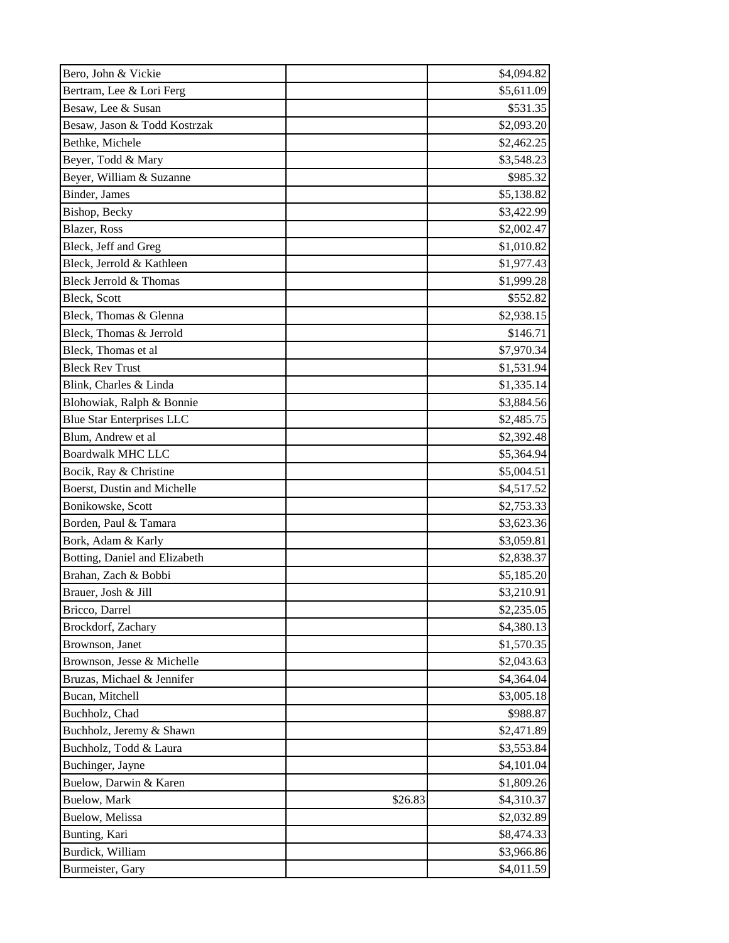| Bero, John & Vickie              |         | \$4,094.82 |
|----------------------------------|---------|------------|
| Bertram, Lee & Lori Ferg         |         | \$5,611.09 |
| Besaw, Lee & Susan               |         | \$531.35   |
| Besaw, Jason & Todd Kostrzak     |         | \$2,093.20 |
| Bethke, Michele                  |         | \$2,462.25 |
| Beyer, Todd & Mary               |         | \$3,548.23 |
| Beyer, William & Suzanne         |         | \$985.32   |
| Binder, James                    |         | \$5,138.82 |
| Bishop, Becky                    |         | \$3,422.99 |
| Blazer, Ross                     |         | \$2,002.47 |
| Bleck, Jeff and Greg             |         | \$1,010.82 |
| Bleck, Jerrold & Kathleen        |         | \$1,977.43 |
| Bleck Jerrold & Thomas           |         | \$1,999.28 |
| Bleck, Scott                     |         | \$552.82   |
| Bleck, Thomas & Glenna           |         | \$2,938.15 |
| Bleck, Thomas & Jerrold          |         | \$146.71   |
| Bleck, Thomas et al              |         | \$7,970.34 |
| <b>Bleck Rev Trust</b>           |         | \$1,531.94 |
| Blink, Charles & Linda           |         | \$1,335.14 |
| Blohowiak, Ralph & Bonnie        |         | \$3,884.56 |
| <b>Blue Star Enterprises LLC</b> |         | \$2,485.75 |
| Blum, Andrew et al               |         | \$2,392.48 |
| <b>Boardwalk MHC LLC</b>         |         | \$5,364.94 |
| Bocik, Ray & Christine           |         | \$5,004.51 |
| Boerst, Dustin and Michelle      |         | \$4,517.52 |
| Bonikowske, Scott                |         | \$2,753.33 |
| Borden, Paul & Tamara            |         | \$3,623.36 |
| Bork, Adam & Karly               |         | \$3,059.81 |
| Botting, Daniel and Elizabeth    |         | \$2,838.37 |
| Brahan, Zach & Bobbi             |         | \$5,185.20 |
| Brauer, Josh & Jill              |         | \$3,210.91 |
| Bricco, Darrel                   |         | \$2,235.05 |
| Brockdorf, Zachary               |         | \$4,380.13 |
| Brownson, Janet                  |         | \$1,570.35 |
| Brownson, Jesse & Michelle       |         | \$2,043.63 |
| Bruzas, Michael & Jennifer       |         | \$4,364.04 |
| Bucan, Mitchell                  |         | \$3,005.18 |
| Buchholz, Chad                   |         | \$988.87   |
| Buchholz, Jeremy & Shawn         |         | \$2,471.89 |
| Buchholz, Todd & Laura           |         | \$3,553.84 |
| Buchinger, Jayne                 |         | \$4,101.04 |
| Buelow, Darwin & Karen           |         | \$1,809.26 |
| Buelow, Mark                     | \$26.83 | \$4,310.37 |
| Buelow, Melissa                  |         | \$2,032.89 |
| Bunting, Kari                    |         | \$8,474.33 |
| Burdick, William                 |         | \$3,966.86 |
| Burmeister, Gary                 |         | \$4,011.59 |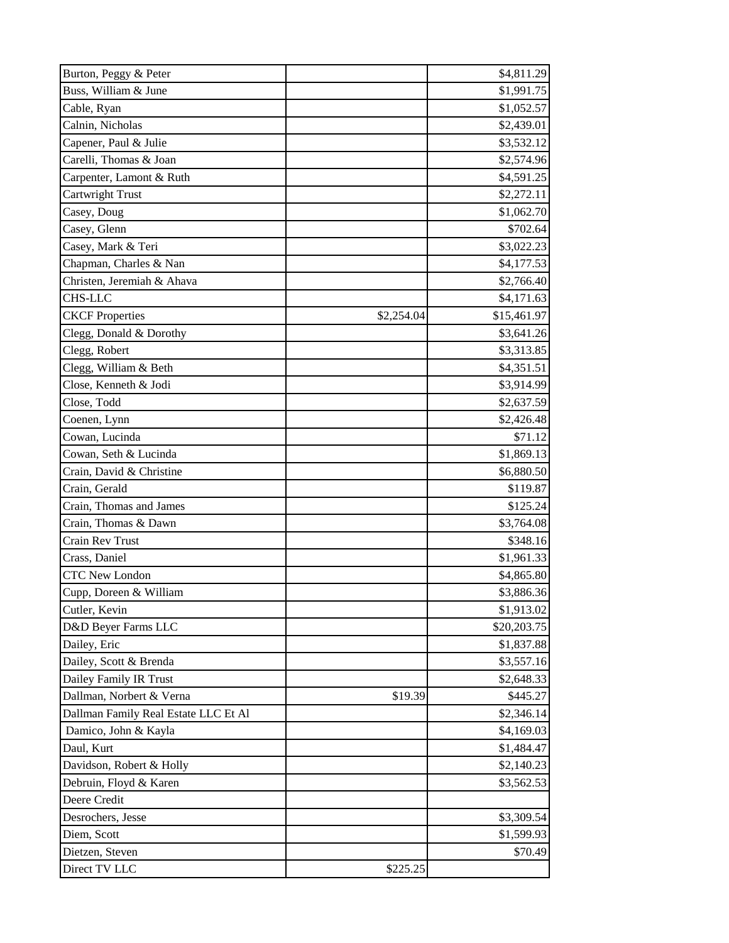| Burton, Peggy & Peter                |            | \$4,811.29  |
|--------------------------------------|------------|-------------|
| Buss, William & June                 |            | \$1,991.75  |
| Cable, Ryan                          |            | \$1,052.57  |
| Calnin, Nicholas                     |            | \$2,439.01  |
| Capener, Paul & Julie                |            | \$3,532.12  |
| Carelli, Thomas & Joan               |            | \$2,574.96  |
| Carpenter, Lamont & Ruth             |            | \$4,591.25  |
| <b>Cartwright Trust</b>              |            | \$2,272.11  |
| Casey, Doug                          |            | \$1,062.70  |
| Casey, Glenn                         |            | \$702.64    |
| Casey, Mark & Teri                   |            | \$3,022.23  |
| Chapman, Charles & Nan               |            | \$4,177.53  |
| Christen, Jeremiah & Ahava           |            | \$2,766.40  |
| <b>CHS-LLC</b>                       |            | \$4,171.63  |
| <b>CKCF Properties</b>               | \$2,254.04 | \$15,461.97 |
| Clegg, Donald & Dorothy              |            | \$3,641.26  |
| Clegg, Robert                        |            | \$3,313.85  |
| Clegg, William & Beth                |            | \$4,351.51  |
| Close, Kenneth & Jodi                |            | \$3,914.99  |
| Close, Todd                          |            | \$2,637.59  |
| Coenen, Lynn                         |            | \$2,426.48  |
| Cowan, Lucinda                       |            | \$71.12     |
| Cowan, Seth & Lucinda                |            | \$1,869.13  |
| Crain, David & Christine             |            | \$6,880.50  |
| Crain, Gerald                        |            | \$119.87    |
| Crain, Thomas and James              |            | \$125.24    |
| Crain, Thomas & Dawn                 |            | \$3,764.08  |
| Crain Rev Trust                      |            | \$348.16    |
| Crass, Daniel                        |            | \$1,961.33  |
| <b>CTC New London</b>                |            | \$4,865.80  |
| Cupp, Doreen & William               |            | \$3,886.36  |
| Cutler, Kevin                        |            | \$1,913.02  |
| D&D Beyer Farms LLC                  |            | \$20,203.75 |
| Dailey, Eric                         |            | \$1,837.88  |
| Dailey, Scott & Brenda               |            | \$3,557.16  |
| Dailey Family IR Trust               |            | \$2,648.33  |
| Dallman, Norbert & Verna             | \$19.39    | \$445.27    |
| Dallman Family Real Estate LLC Et Al |            | \$2,346.14  |
| Damico, John & Kayla                 |            | \$4,169.03  |
| Daul, Kurt                           |            | \$1,484.47  |
| Davidson, Robert & Holly             |            | \$2,140.23  |
| Debruin, Floyd & Karen               |            | \$3,562.53  |
| Deere Credit                         |            |             |
| Desrochers, Jesse                    |            | \$3,309.54  |
| Diem, Scott                          |            | \$1,599.93  |
| Dietzen, Steven                      |            | \$70.49     |
| Direct TV LLC                        | \$225.25   |             |
|                                      |            |             |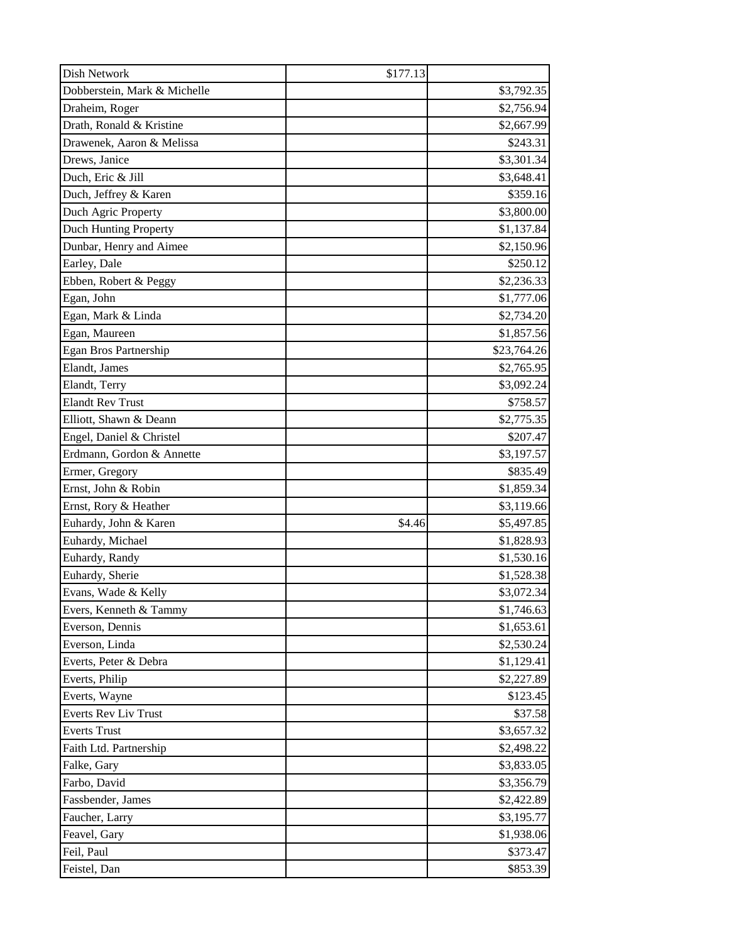| Dish Network                 | \$177.13 |             |
|------------------------------|----------|-------------|
| Dobberstein, Mark & Michelle |          | \$3,792.35  |
| Draheim, Roger               |          | \$2,756.94  |
| Drath, Ronald & Kristine     |          | \$2,667.99  |
| Drawenek, Aaron & Melissa    |          | \$243.31    |
| Drews, Janice                |          | \$3,301.34  |
| Duch, Eric & Jill            |          | \$3,648.41  |
| Duch, Jeffrey & Karen        |          | \$359.16    |
| Duch Agric Property          |          | \$3,800.00  |
| Duch Hunting Property        |          | \$1,137.84  |
| Dunbar, Henry and Aimee      |          | \$2,150.96  |
| Earley, Dale                 |          | \$250.12    |
| Ebben, Robert & Peggy        |          | \$2,236.33  |
| Egan, John                   |          | \$1,777.06  |
| Egan, Mark & Linda           |          | \$2,734.20  |
| Egan, Maureen                |          | \$1,857.56  |
| <b>Egan Bros Partnership</b> |          | \$23,764.26 |
| Elandt, James                |          | \$2,765.95  |
| Elandt, Terry                |          | \$3,092.24  |
| <b>Elandt Rev Trust</b>      |          | \$758.57    |
| Elliott, Shawn & Deann       |          | \$2,775.35  |
| Engel, Daniel & Christel     |          | \$207.47    |
| Erdmann, Gordon & Annette    |          | \$3,197.57  |
| Ermer, Gregory               |          | \$835.49    |
| Ernst, John & Robin          |          | \$1,859.34  |
| Ernst, Rory & Heather        |          | \$3,119.66  |
| Euhardy, John & Karen        | \$4.46   | \$5,497.85  |
| Euhardy, Michael             |          | \$1,828.93  |
| Euhardy, Randy               |          | \$1,530.16  |
| Euhardy, Sherie              |          | \$1,528.38  |
| Evans, Wade & Kelly          |          | \$3,072.34  |
| Evers, Kenneth & Tammy       |          | \$1,746.63  |
| Everson, Dennis              |          | \$1,653.61  |
| Everson, Linda               |          | \$2,530.24  |
| Everts, Peter & Debra        |          | \$1,129.41  |
| Everts, Philip               |          | \$2,227.89  |
| Everts, Wayne                |          | \$123.45    |
| <b>Everts Rev Liv Trust</b>  |          | \$37.58     |
| <b>Everts Trust</b>          |          | \$3,657.32  |
| Faith Ltd. Partnership       |          | \$2,498.22  |
| Falke, Gary                  |          | \$3,833.05  |
| Farbo, David                 |          | \$3,356.79  |
| Fassbender, James            |          | \$2,422.89  |
| Faucher, Larry               |          | \$3,195.77  |
| Feavel, Gary                 |          | \$1,938.06  |
| Feil, Paul                   |          | \$373.47    |
| Feistel, Dan                 |          | \$853.39    |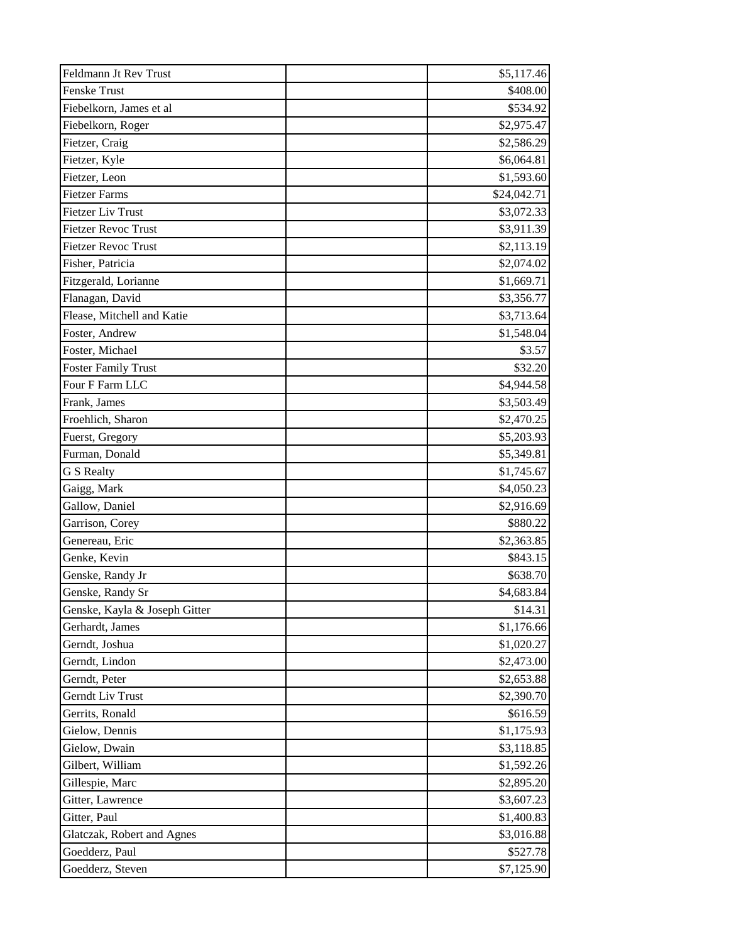| Feldmann Jt Rev Trust         | \$5,117.46  |
|-------------------------------|-------------|
| <b>Fenske Trust</b>           | \$408.00    |
| Fiebelkorn, James et al       | \$534.92    |
| Fiebelkorn, Roger             | \$2,975.47  |
| Fietzer, Craig                | \$2,586.29  |
| Fietzer, Kyle                 | \$6,064.81  |
| Fietzer, Leon                 | \$1,593.60  |
| <b>Fietzer Farms</b>          | \$24,042.71 |
| <b>Fietzer Liv Trust</b>      | \$3,072.33  |
| <b>Fietzer Revoc Trust</b>    | \$3,911.39  |
| <b>Fietzer Revoc Trust</b>    | \$2,113.19  |
| Fisher, Patricia              | \$2,074.02  |
| Fitzgerald, Lorianne          | \$1,669.71  |
| Flanagan, David               | \$3,356.77  |
| Flease, Mitchell and Katie    | \$3,713.64  |
| Foster, Andrew                | \$1,548.04  |
| Foster, Michael               | \$3.57      |
| <b>Foster Family Trust</b>    | \$32.20     |
| Four F Farm LLC               | \$4,944.58  |
| Frank, James                  | \$3,503.49  |
| Froehlich, Sharon             | \$2,470.25  |
| Fuerst, Gregory               | \$5,203.93  |
| Furman, Donald                | \$5,349.81  |
| G S Realty                    | \$1,745.67  |
| Gaigg, Mark                   | \$4,050.23  |
| Gallow, Daniel                | \$2,916.69  |
| Garrison, Corey               | \$880.22    |
| Genereau, Eric                | \$2,363.85  |
| Genke, Kevin                  | \$843.15    |
| Genske, Randy Jr              | \$638.70    |
| Genske, Randy Sr              | \$4,683.84  |
| Genske, Kayla & Joseph Gitter | \$14.31     |
| Gerhardt, James               | \$1,176.66  |
| Gerndt, Joshua                | \$1,020.27  |
| Gerndt, Lindon                | \$2,473.00  |
| Gerndt, Peter                 | \$2,653.88  |
| Gerndt Liv Trust              | \$2,390.70  |
| Gerrits, Ronald               | \$616.59    |
| Gielow, Dennis                | \$1,175.93  |
| Gielow, Dwain                 | \$3,118.85  |
| Gilbert, William              | \$1,592.26  |
| Gillespie, Marc               | \$2,895.20  |
| Gitter, Lawrence              | \$3,607.23  |
| Gitter, Paul                  | \$1,400.83  |
| Glatczak, Robert and Agnes    | \$3,016.88  |
| Goedderz, Paul                | \$527.78    |
| Goedderz, Steven              | \$7,125.90  |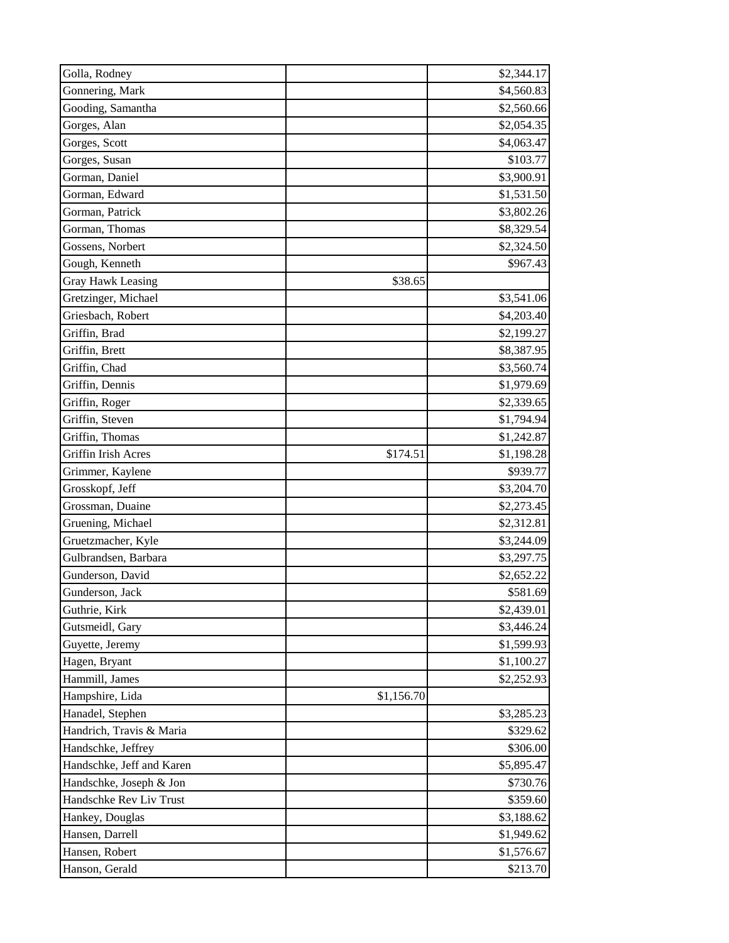| Golla, Rodney             | \$2,344.17             |
|---------------------------|------------------------|
| Gonnering, Mark           | \$4,560.83             |
| Gooding, Samantha         | \$2,560.66             |
| Gorges, Alan              | \$2,054.35             |
| Gorges, Scott             | \$4,063.47             |
| Gorges, Susan             | \$103.77               |
| Gorman, Daniel            | \$3,900.91             |
| Gorman, Edward            | \$1,531.50             |
| Gorman, Patrick           | \$3,802.26             |
| Gorman, Thomas            | \$8,329.54             |
| Gossens, Norbert          | \$2,324.50             |
| Gough, Kenneth            | \$967.43               |
| <b>Gray Hawk Leasing</b>  | \$38.65                |
| Gretzinger, Michael       | \$3,541.06             |
| Griesbach, Robert         | \$4,203.40             |
| Griffin, Brad             | \$2,199.27             |
| Griffin, Brett            | \$8,387.95             |
| Griffin, Chad             | \$3,560.74             |
| Griffin, Dennis           | \$1,979.69             |
| Griffin, Roger            | \$2,339.65             |
| Griffin, Steven           | \$1,794.94             |
| Griffin, Thomas           | \$1,242.87             |
| Griffin Irish Acres       | \$174.51<br>\$1,198.28 |
| Grimmer, Kaylene          | \$939.77               |
| Grosskopf, Jeff           | \$3,204.70             |
| Grossman, Duaine          | \$2,273.45             |
| Gruening, Michael         | \$2,312.81             |
| Gruetzmacher, Kyle        | \$3,244.09             |
| Gulbrandsen, Barbara      | \$3,297.75             |
| Gunderson, David          | \$2,652.22             |
| Gunderson, Jack           | \$581.69               |
| Guthrie, Kirk             | \$2,439.01             |
| Gutsmeidl, Gary           | \$3,446.24             |
| Guyette, Jeremy           | \$1,599.93             |
| Hagen, Bryant             | \$1,100.27             |
| Hammill, James            | \$2,252.93             |
| Hampshire, Lida           | \$1,156.70             |
| Hanadel, Stephen          | \$3,285.23             |
| Handrich, Travis & Maria  | \$329.62               |
| Handschke, Jeffrey        | \$306.00               |
| Handschke, Jeff and Karen | \$5,895.47             |
| Handschke, Joseph & Jon   | \$730.76               |
| Handschke Rev Liv Trust   | \$359.60               |
| Hankey, Douglas           | \$3,188.62             |
| Hansen, Darrell           | \$1,949.62             |
| Hansen, Robert            | \$1,576.67             |
| Hanson, Gerald            | \$213.70               |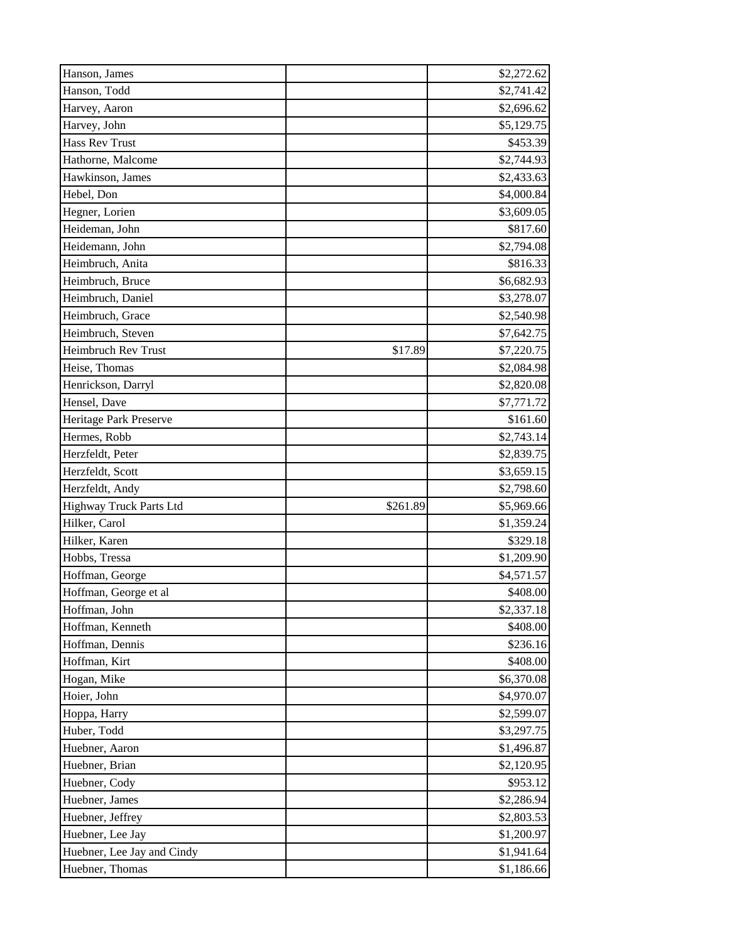| Hanson, James              | \$2,272.62             |
|----------------------------|------------------------|
| Hanson, Todd               | \$2,741.42             |
| Harvey, Aaron              | \$2,696.62             |
| Harvey, John               | \$5,129.75             |
| Hass Rev Trust             | \$453.39               |
| Hathorne, Malcome          | \$2,744.93             |
| Hawkinson, James           | \$2,433.63             |
| Hebel, Don                 | \$4,000.84             |
| Hegner, Lorien             | \$3,609.05             |
| Heideman, John             | \$817.60               |
| Heidemann, John            | \$2,794.08             |
| Heimbruch, Anita           | \$816.33               |
| Heimbruch, Bruce           | \$6,682.93             |
| Heimbruch, Daniel          | \$3,278.07             |
| Heimbruch, Grace           | \$2,540.98             |
| Heimbruch, Steven          | \$7,642.75             |
| <b>Heimbruch Rev Trust</b> | \$17.89<br>\$7,220.75  |
| Heise, Thomas              | \$2,084.98             |
| Henrickson, Darryl         | \$2,820.08             |
| Hensel, Dave               | \$7,771.72             |
| Heritage Park Preserve     | \$161.60               |
| Hermes, Robb               | \$2,743.14             |
| Herzfeldt, Peter           | \$2,839.75             |
| Herzfeldt, Scott           | \$3,659.15             |
| Herzfeldt, Andy            | \$2,798.60             |
| Highway Truck Parts Ltd    | \$261.89<br>\$5,969.66 |
| Hilker, Carol              | \$1,359.24             |
| Hilker, Karen              | \$329.18               |
| Hobbs, Tressa              | \$1,209.90             |
| Hoffman, George            | \$4,571.57             |
| Hoffman, George et al      | \$408.00               |
| Hoffman, John              | \$2,337.18             |
| Hoffman, Kenneth           | \$408.00               |
| Hoffman, Dennis            | \$236.16               |
| Hoffman, Kirt              | \$408.00               |
| Hogan, Mike                | \$6,370.08             |
| Hoier, John                | \$4,970.07             |
| Hoppa, Harry               | \$2,599.07             |
| Huber, Todd                | \$3,297.75             |
| Huebner, Aaron             | \$1,496.87             |
| Huebner, Brian             | \$2,120.95             |
| Huebner, Cody              | \$953.12               |
| Huebner, James             | \$2,286.94             |
| Huebner, Jeffrey           | \$2,803.53             |
| Huebner, Lee Jay           | \$1,200.97             |
| Huebner, Lee Jay and Cindy | \$1,941.64             |
| Huebner, Thomas            | \$1,186.66             |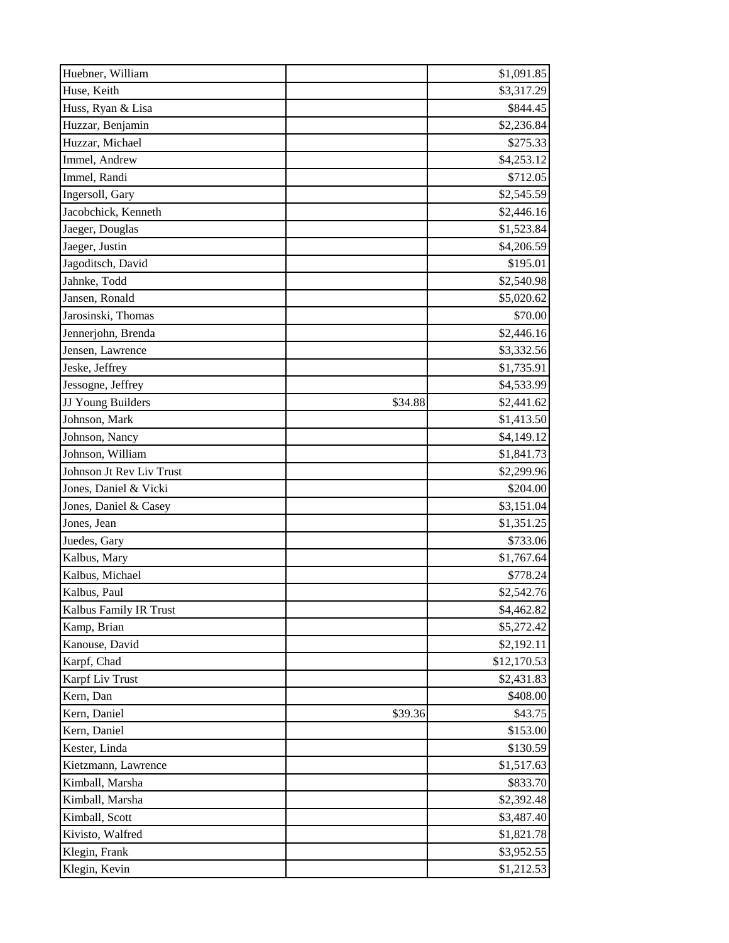| Huebner, William         |         | \$1,091.85  |
|--------------------------|---------|-------------|
| Huse, Keith              |         | \$3,317.29  |
| Huss, Ryan & Lisa        |         | \$844.45    |
| Huzzar, Benjamin         |         | \$2,236.84  |
| Huzzar, Michael          |         | \$275.33    |
| Immel, Andrew            |         | \$4,253.12  |
| Immel, Randi             |         | \$712.05    |
| Ingersoll, Gary          |         | \$2,545.59  |
| Jacobchick, Kenneth      |         | \$2,446.16  |
| Jaeger, Douglas          |         | \$1,523.84  |
| Jaeger, Justin           |         | \$4,206.59  |
| Jagoditsch, David        |         | \$195.01    |
| Jahnke, Todd             |         | \$2,540.98  |
| Jansen, Ronald           |         | \$5,020.62  |
| Jarosinski, Thomas       |         | \$70.00     |
| Jennerjohn, Brenda       |         | \$2,446.16  |
| Jensen, Lawrence         |         | \$3,332.56  |
| Jeske, Jeffrey           |         | \$1,735.91  |
| Jessogne, Jeffrey        |         | \$4,533.99  |
| JJ Young Builders        | \$34.88 | \$2,441.62  |
| Johnson, Mark            |         | \$1,413.50  |
| Johnson, Nancy           |         | \$4,149.12  |
| Johnson, William         |         | \$1,841.73  |
| Johnson Jt Rev Liv Trust |         | \$2,299.96  |
| Jones, Daniel & Vicki    |         | \$204.00    |
| Jones, Daniel & Casey    |         | \$3,151.04  |
| Jones, Jean              |         | \$1,351.25  |
| Juedes, Gary             |         | \$733.06    |
| Kalbus, Mary             |         | \$1,767.64  |
| Kalbus, Michael          |         | \$778.24    |
| Kalbus, Paul             |         | \$2,542.76  |
| Kalbus Family IR Trust   |         | \$4,462.82  |
| Kamp, Brian              |         | \$5,272.42  |
| Kanouse, David           |         | \$2,192.11  |
| Karpf, Chad              |         | \$12,170.53 |
| Karpf Liv Trust          |         | \$2,431.83  |
| Kern, Dan                |         | \$408.00    |
| Kern, Daniel             | \$39.36 | \$43.75     |
| Kern, Daniel             |         | \$153.00    |
| Kester, Linda            |         | \$130.59    |
| Kietzmann, Lawrence      |         | \$1,517.63  |
| Kimball, Marsha          |         | \$833.70    |
| Kimball, Marsha          |         | \$2,392.48  |
| Kimball, Scott           |         | \$3,487.40  |
| Kivisto, Walfred         |         | \$1,821.78  |
| Klegin, Frank            |         | \$3,952.55  |
| Klegin, Kevin            |         | \$1,212.53  |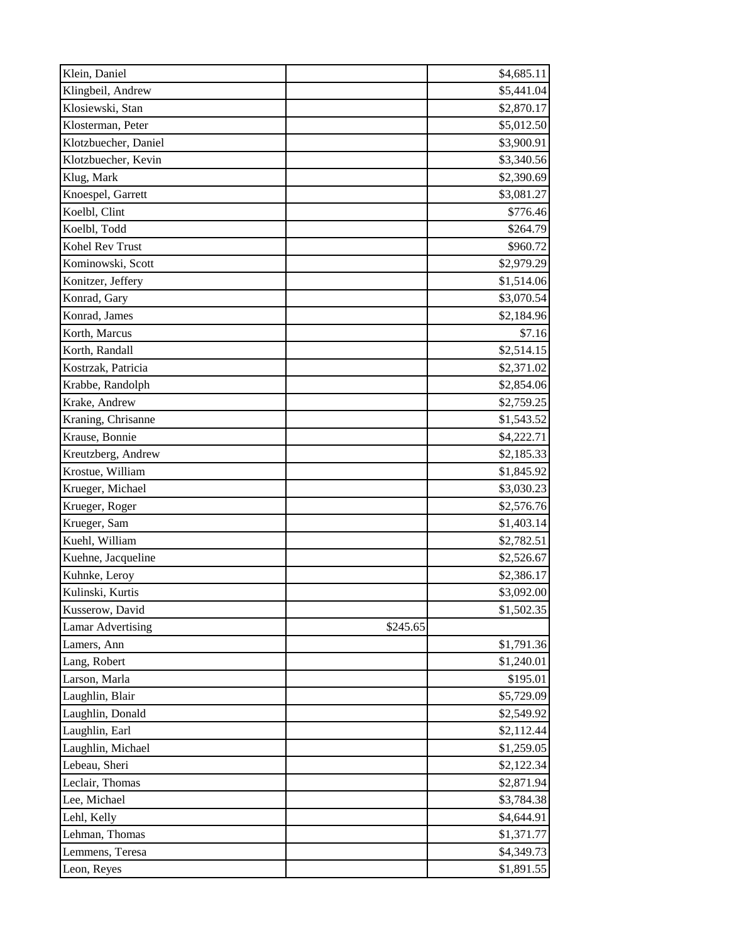| Klein, Daniel            |          | \$4,685.11 |
|--------------------------|----------|------------|
| Klingbeil, Andrew        |          | \$5,441.04 |
| Klosiewski, Stan         |          | \$2,870.17 |
| Klosterman, Peter        |          | \$5,012.50 |
| Klotzbuecher, Daniel     |          | \$3,900.91 |
| Klotzbuecher, Kevin      |          | \$3,340.56 |
| Klug, Mark               |          | \$2,390.69 |
| Knoespel, Garrett        |          | \$3,081.27 |
| Koelbl, Clint            |          | \$776.46   |
| Koelbl, Todd             |          | \$264.79   |
| Kohel Rev Trust          |          | \$960.72   |
| Kominowski, Scott        |          | \$2,979.29 |
| Konitzer, Jeffery        |          | \$1,514.06 |
| Konrad, Gary             |          | \$3,070.54 |
| Konrad, James            |          | \$2,184.96 |
| Korth, Marcus            |          | \$7.16     |
| Korth, Randall           |          | \$2,514.15 |
| Kostrzak, Patricia       |          | \$2,371.02 |
| Krabbe, Randolph         |          | \$2,854.06 |
| Krake, Andrew            |          | \$2,759.25 |
| Kraning, Chrisanne       |          | \$1,543.52 |
| Krause, Bonnie           |          | \$4,222.71 |
| Kreutzberg, Andrew       |          | \$2,185.33 |
| Krostue, William         |          | \$1,845.92 |
| Krueger, Michael         |          | \$3,030.23 |
| Krueger, Roger           |          | \$2,576.76 |
| Krueger, Sam             |          | \$1,403.14 |
| Kuehl, William           |          | \$2,782.51 |
| Kuehne, Jacqueline       |          | \$2,526.67 |
| Kuhnke, Leroy            |          | \$2,386.17 |
| Kulinski, Kurtis         |          | \$3,092.00 |
| Kusserow, David          |          | \$1,502.35 |
| <b>Lamar Advertising</b> | \$245.65 |            |
| Lamers, Ann              |          | \$1,791.36 |
| Lang, Robert             |          | \$1,240.01 |
| Larson, Marla            |          | \$195.01   |
| Laughlin, Blair          |          | \$5,729.09 |
| Laughlin, Donald         |          | \$2,549.92 |
| Laughlin, Earl           |          | \$2,112.44 |
| Laughlin, Michael        |          | \$1,259.05 |
| Lebeau, Sheri            |          | \$2,122.34 |
| Leclair, Thomas          |          | \$2,871.94 |
| Lee, Michael             |          | \$3,784.38 |
| Lehl, Kelly              |          | \$4,644.91 |
| Lehman, Thomas           |          | \$1,371.77 |
| Lemmens, Teresa          |          | \$4,349.73 |
| Leon, Reyes              |          | \$1,891.55 |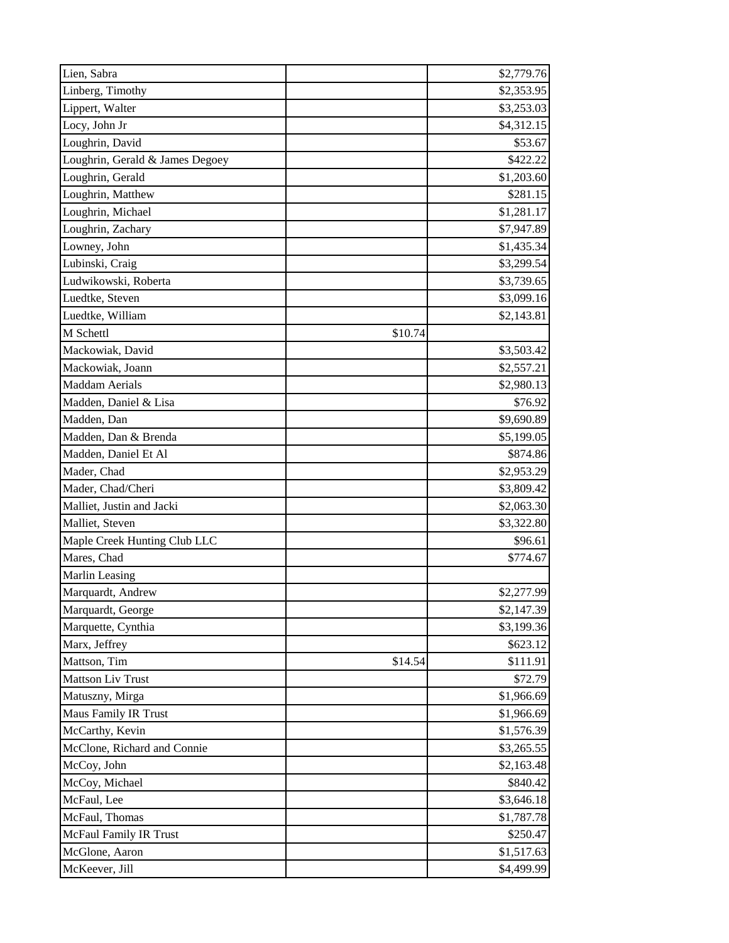| Lien, Sabra                     |         | \$2,779.76 |
|---------------------------------|---------|------------|
| Linberg, Timothy                |         | \$2,353.95 |
| Lippert, Walter                 |         | \$3,253.03 |
| Locy, John Jr                   |         | \$4,312.15 |
| Loughrin, David                 |         | \$53.67    |
| Loughrin, Gerald & James Degoey |         | \$422.22   |
| Loughrin, Gerald                |         | \$1,203.60 |
| Loughrin, Matthew               |         | \$281.15   |
| Loughrin, Michael               |         | \$1,281.17 |
| Loughrin, Zachary               |         | \$7,947.89 |
| Lowney, John                    |         | \$1,435.34 |
| Lubinski, Craig                 |         | \$3,299.54 |
| Ludwikowski, Roberta            |         | \$3,739.65 |
| Luedtke, Steven                 |         | \$3,099.16 |
| Luedtke, William                |         | \$2,143.81 |
| M Schettl                       | \$10.74 |            |
| Mackowiak, David                |         | \$3,503.42 |
| Mackowiak, Joann                |         | \$2,557.21 |
| <b>Maddam Aerials</b>           |         | \$2,980.13 |
| Madden, Daniel & Lisa           |         | \$76.92    |
| Madden, Dan                     |         | \$9,690.89 |
| Madden, Dan & Brenda            |         | \$5,199.05 |
| Madden, Daniel Et Al            |         | \$874.86   |
| Mader, Chad                     |         | \$2,953.29 |
| Mader, Chad/Cheri               |         | \$3,809.42 |
| Malliet, Justin and Jacki       |         | \$2,063.30 |
| Malliet, Steven                 |         | \$3,322.80 |
| Maple Creek Hunting Club LLC    |         | \$96.61    |
| Mares, Chad                     |         | \$774.67   |
| Marlin Leasing                  |         |            |
| Marquardt, Andrew               |         | \$2,277.99 |
| Marquardt, George               |         | \$2,147.39 |
| Marquette, Cynthia              |         | \$3,199.36 |
| Marx, Jeffrey                   |         | \$623.12   |
| Mattson, Tim                    | \$14.54 | \$111.91   |
| <b>Mattson Liv Trust</b>        |         | \$72.79    |
| Matuszny, Mirga                 |         | \$1,966.69 |
| Maus Family IR Trust            |         | \$1,966.69 |
| McCarthy, Kevin                 |         | \$1,576.39 |
| McClone, Richard and Connie     |         | \$3,265.55 |
| McCoy, John                     |         | \$2,163.48 |
| McCoy, Michael                  |         | \$840.42   |
| McFaul, Lee                     |         | \$3,646.18 |
| McFaul, Thomas                  |         | \$1,787.78 |
| <b>McFaul Family IR Trust</b>   |         | \$250.47   |
| McGlone, Aaron                  |         | \$1,517.63 |
| McKeever, Jill                  |         | \$4,499.99 |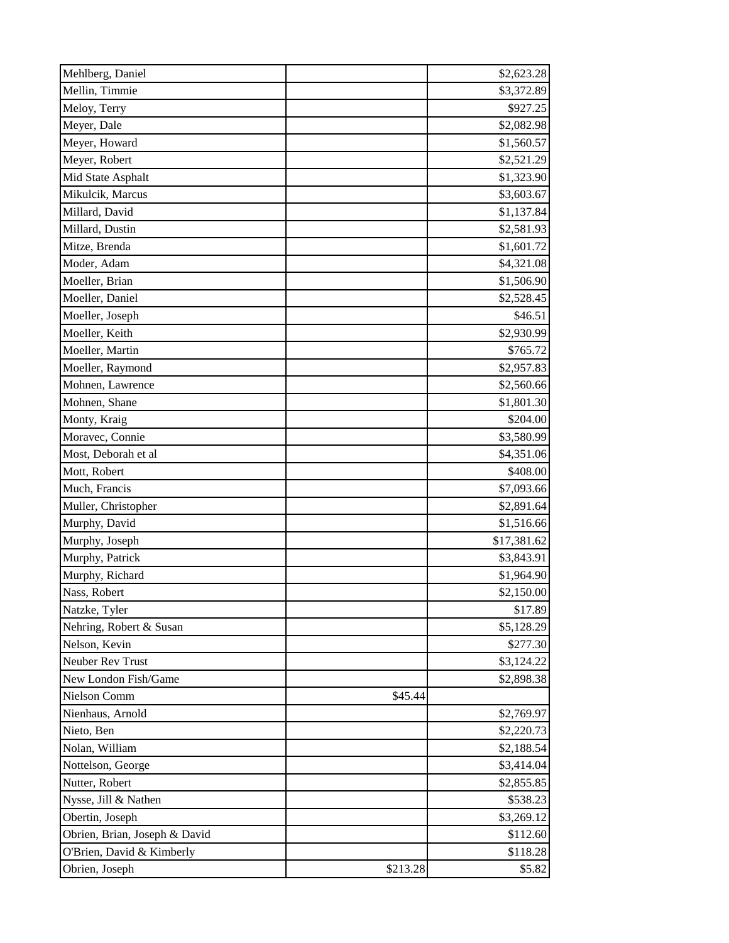| Mehlberg, Daniel              |          | \$2,623.28  |
|-------------------------------|----------|-------------|
| Mellin, Timmie                |          | \$3,372.89  |
| Meloy, Terry                  |          | \$927.25    |
| Meyer, Dale                   |          | \$2,082.98  |
| Meyer, Howard                 |          | \$1,560.57  |
| Meyer, Robert                 |          | \$2,521.29  |
| Mid State Asphalt             |          | \$1,323.90  |
| Mikulcik, Marcus              |          | \$3,603.67  |
| Millard, David                |          | \$1,137.84  |
| Millard, Dustin               |          | \$2,581.93  |
| Mitze, Brenda                 |          | \$1,601.72  |
| Moder, Adam                   |          | \$4,321.08  |
| Moeller, Brian                |          | \$1,506.90  |
| Moeller, Daniel               |          | \$2,528.45  |
| Moeller, Joseph               |          | \$46.51     |
| Moeller, Keith                |          | \$2,930.99  |
| Moeller, Martin               |          | \$765.72    |
| Moeller, Raymond              |          | \$2,957.83  |
| Mohnen, Lawrence              |          | \$2,560.66  |
| Mohnen, Shane                 |          | \$1,801.30  |
| Monty, Kraig                  |          | \$204.00    |
| Moravec, Connie               |          | \$3,580.99  |
| Most, Deborah et al           |          | \$4,351.06  |
| Mott, Robert                  |          | \$408.00    |
| Much, Francis                 |          | \$7,093.66  |
| Muller, Christopher           |          | \$2,891.64  |
| Murphy, David                 |          | \$1,516.66  |
| Murphy, Joseph                |          | \$17,381.62 |
| Murphy, Patrick               |          | \$3,843.91  |
| Murphy, Richard               |          | \$1,964.90  |
| Nass, Robert                  |          | \$2,150.00  |
| Natzke, Tyler                 |          | \$17.89     |
| Nehring, Robert & Susan       |          | \$5,128.29  |
| Nelson, Kevin                 |          | \$277.30    |
| Neuber Rev Trust              |          | \$3,124.22  |
| New London Fish/Game          |          | \$2,898.38  |
| Nielson Comm                  | \$45.44  |             |
| Nienhaus, Arnold              |          | \$2,769.97  |
| Nieto, Ben                    |          | \$2,220.73  |
| Nolan, William                |          | \$2,188.54  |
| Nottelson, George             |          | \$3,414.04  |
| Nutter, Robert                |          | \$2,855.85  |
| Nysse, Jill & Nathen          |          | \$538.23    |
| Obertin, Joseph               |          | \$3,269.12  |
| Obrien, Brian, Joseph & David |          | \$112.60    |
| O'Brien, David & Kimberly     |          | \$118.28    |
| Obrien, Joseph                | \$213.28 | \$5.82      |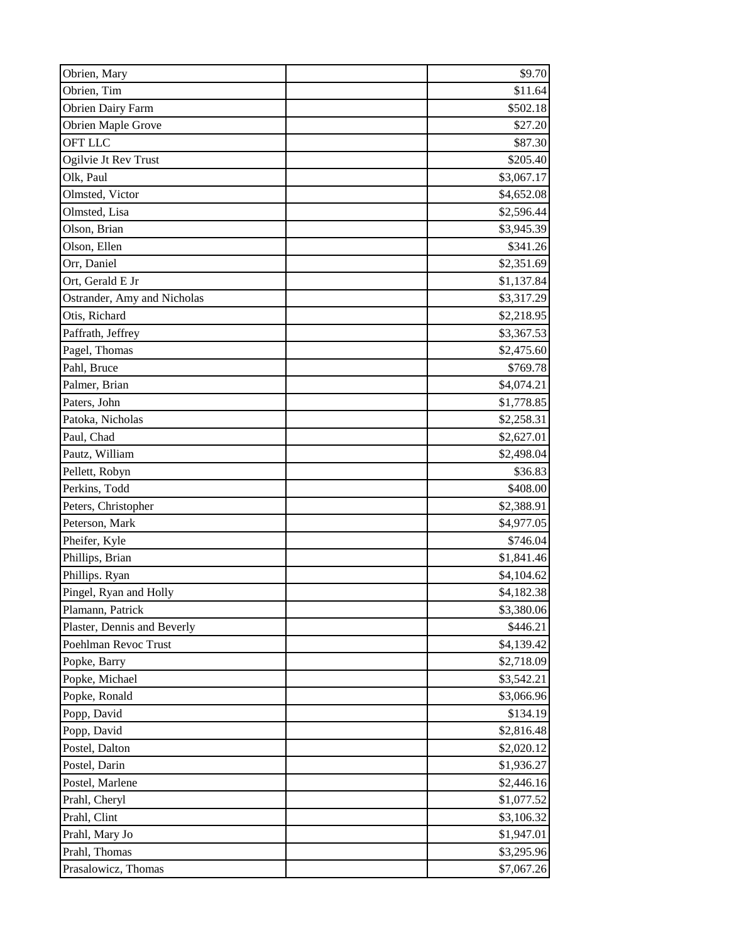| Obrien, Mary                | \$9.70     |
|-----------------------------|------------|
| Obrien, Tim                 | \$11.64    |
| <b>Obrien Dairy Farm</b>    | \$502.18   |
| Obrien Maple Grove          | \$27.20    |
| <b>OFT LLC</b>              | \$87.30    |
| Ogilvie Jt Rev Trust        | \$205.40   |
| Olk, Paul                   | \$3,067.17 |
| Olmsted, Victor             | \$4,652.08 |
| Olmsted, Lisa               | \$2,596.44 |
| Olson, Brian                | \$3,945.39 |
| Olson, Ellen                | \$341.26   |
| Orr, Daniel                 | \$2,351.69 |
| Ort, Gerald E Jr            | \$1,137.84 |
| Ostrander, Amy and Nicholas | \$3,317.29 |
| Otis, Richard               | \$2,218.95 |
| Paffrath, Jeffrey           | \$3,367.53 |
| Pagel, Thomas               | \$2,475.60 |
| Pahl, Bruce                 | \$769.78   |
| Palmer, Brian               | \$4,074.21 |
| Paters, John                | \$1,778.85 |
| Patoka, Nicholas            | \$2,258.31 |
| Paul, Chad                  | \$2,627.01 |
| Pautz, William              | \$2,498.04 |
| Pellett, Robyn              | \$36.83    |
| Perkins, Todd               | \$408.00   |
| Peters, Christopher         | \$2,388.91 |
| Peterson, Mark              | \$4,977.05 |
| Pheifer, Kyle               | \$746.04   |
| Phillips, Brian             | \$1,841.46 |
| Phillips. Ryan              | \$4,104.62 |
| Pingel, Ryan and Holly      | \$4,182.38 |
| Plamann, Patrick            | \$3,380.06 |
| Plaster, Dennis and Beverly | \$446.21   |
| Poehlman Revoc Trust        | \$4,139.42 |
| Popke, Barry                | \$2,718.09 |
| Popke, Michael              | \$3,542.21 |
| Popke, Ronald               | \$3,066.96 |
| Popp, David                 | \$134.19   |
| Popp, David                 | \$2,816.48 |
| Postel, Dalton              | \$2,020.12 |
| Postel, Darin               | \$1,936.27 |
| Postel, Marlene             | \$2,446.16 |
| Prahl, Cheryl               | \$1,077.52 |
| Prahl, Clint                | \$3,106.32 |
| Prahl, Mary Jo              | \$1,947.01 |
| Prahl, Thomas               | \$3,295.96 |
| Prasalowicz, Thomas         | \$7,067.26 |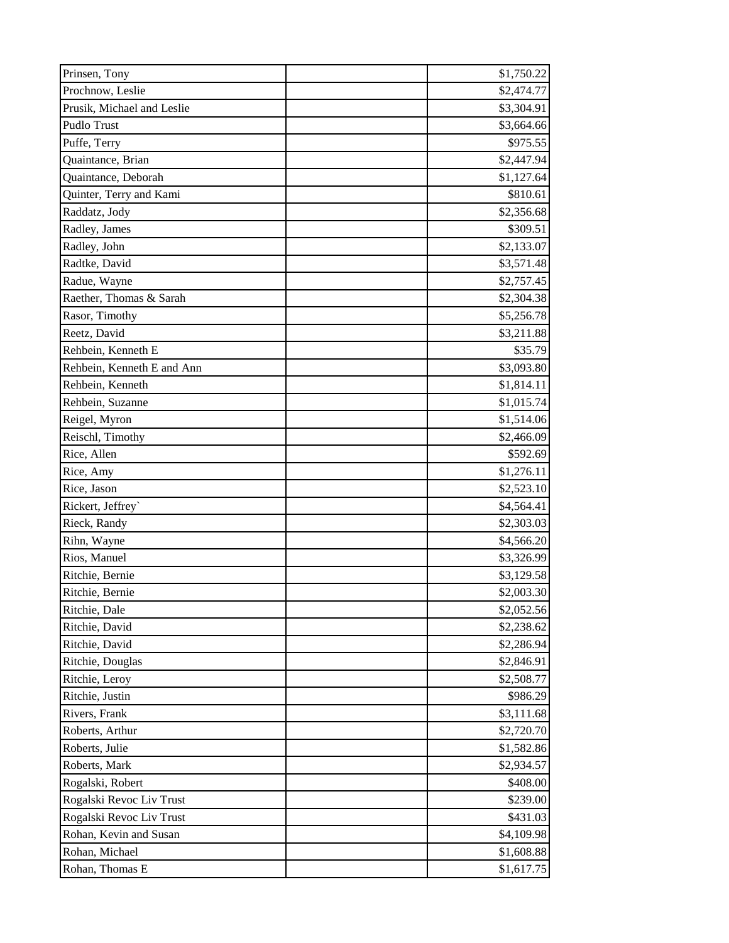| Prinsen, Tony              | \$1,750.22 |
|----------------------------|------------|
| Prochnow, Leslie           | \$2,474.77 |
| Prusik, Michael and Leslie | \$3,304.91 |
| Pudlo Trust                | \$3,664.66 |
| Puffe, Terry               | \$975.55   |
| Quaintance, Brian          | \$2,447.94 |
| Quaintance, Deborah        | \$1,127.64 |
| Quinter, Terry and Kami    | \$810.61   |
| Raddatz, Jody              | \$2,356.68 |
| Radley, James              | \$309.51   |
| Radley, John               | \$2,133.07 |
| Radtke, David              | \$3,571.48 |
| Radue, Wayne               | \$2,757.45 |
| Raether, Thomas & Sarah    | \$2,304.38 |
| Rasor, Timothy             | \$5,256.78 |
| Reetz, David               | \$3,211.88 |
| Rehbein, Kenneth E         | \$35.79    |
| Rehbein, Kenneth E and Ann | \$3,093.80 |
| Rehbein, Kenneth           | \$1,814.11 |
| Rehbein, Suzanne           | \$1,015.74 |
| Reigel, Myron              | \$1,514.06 |
| Reischl, Timothy           | \$2,466.09 |
| Rice, Allen                | \$592.69   |
| Rice, Amy                  | \$1,276.11 |
| Rice, Jason                | \$2,523.10 |
| Rickert, Jeffrey`          | \$4,564.41 |
| Rieck, Randy               | \$2,303.03 |
| Rihn, Wayne                | \$4,566.20 |
| Rios, Manuel               | \$3,326.99 |
| Ritchie, Bernie            | \$3,129.58 |
| Ritchie, Bernie            | \$2,003.30 |
| Ritchie, Dale              | \$2,052.56 |
| Ritchie, David             | \$2,238.62 |
| Ritchie, David             | \$2,286.94 |
| Ritchie, Douglas           | \$2,846.91 |
| Ritchie, Leroy             | \$2,508.77 |
| Ritchie, Justin            | \$986.29   |
| Rivers, Frank              | \$3,111.68 |
| Roberts, Arthur            | \$2,720.70 |
| Roberts, Julie             | \$1,582.86 |
| Roberts, Mark              | \$2,934.57 |
| Rogalski, Robert           | \$408.00   |
| Rogalski Revoc Liv Trust   | \$239.00   |
| Rogalski Revoc Liv Trust   | \$431.03   |
| Rohan, Kevin and Susan     | \$4,109.98 |
| Rohan, Michael             | \$1,608.88 |
| Rohan, Thomas E            | \$1,617.75 |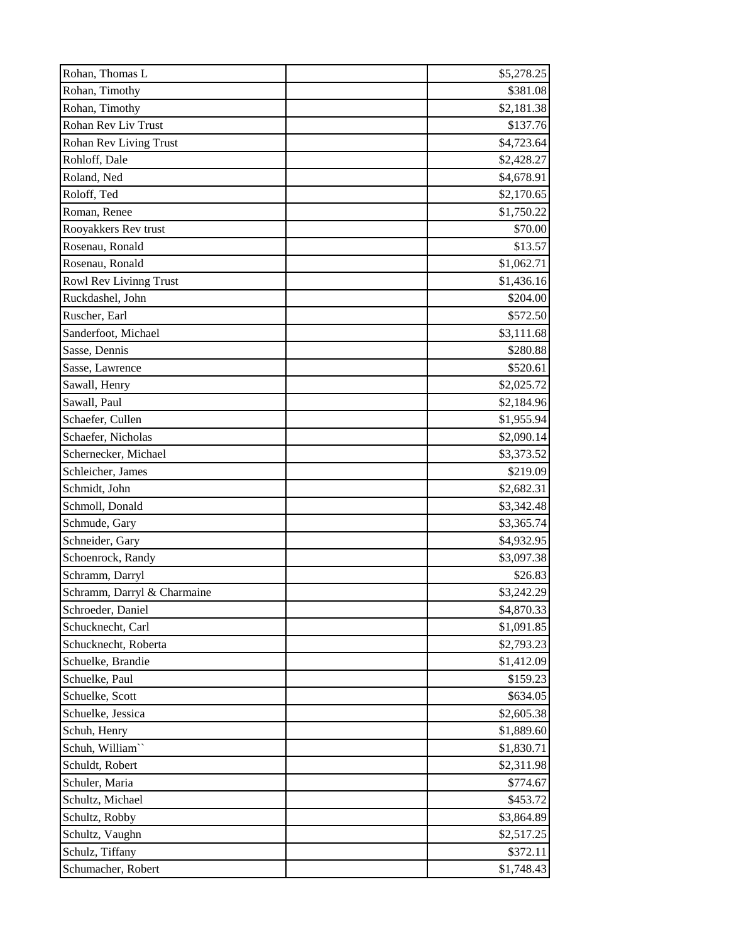| Rohan, Thomas L               | \$5,278.25 |
|-------------------------------|------------|
| Rohan, Timothy                | \$381.08   |
| Rohan, Timothy                | \$2,181.38 |
| Rohan Rev Liv Trust           | \$137.76   |
| <b>Rohan Rev Living Trust</b> | \$4,723.64 |
| Rohloff, Dale                 | \$2,428.27 |
| Roland, Ned                   | \$4,678.91 |
| Roloff, Ted                   | \$2,170.65 |
| Roman, Renee                  | \$1,750.22 |
| Rooyakkers Rev trust          | \$70.00    |
| Rosenau, Ronald               | \$13.57    |
| Rosenau, Ronald               | \$1,062.71 |
| Rowl Rev Livinng Trust        | \$1,436.16 |
| Ruckdashel, John              | \$204.00   |
| Ruscher, Earl                 | \$572.50   |
| Sanderfoot, Michael           | \$3,111.68 |
| Sasse, Dennis                 | \$280.88   |
| Sasse, Lawrence               | \$520.61   |
| Sawall, Henry                 | \$2,025.72 |
| Sawall, Paul                  | \$2,184.96 |
| Schaefer, Cullen              | \$1,955.94 |
| Schaefer, Nicholas            | \$2,090.14 |
| Schernecker, Michael          | \$3,373.52 |
| Schleicher, James             | \$219.09   |
| Schmidt, John                 | \$2,682.31 |
| Schmoll, Donald               | \$3,342.48 |
| Schmude, Gary                 | \$3,365.74 |
| Schneider, Gary               | \$4,932.95 |
| Schoenrock, Randy             | \$3,097.38 |
| Schramm, Darryl               | \$26.83    |
| Schramm, Darryl & Charmaine   | \$3,242.29 |
| Schroeder, Daniel             | \$4,870.33 |
| Schucknecht, Carl             | \$1,091.85 |
| Schucknecht, Roberta          | \$2,793.23 |
| Schuelke, Brandie             | \$1,412.09 |
| Schuelke, Paul                | \$159.23   |
| Schuelke, Scott               | \$634.05   |
| Schuelke, Jessica             | \$2,605.38 |
| Schuh, Henry                  | \$1,889.60 |
| Schuh, William"               | \$1,830.71 |
| Schuldt, Robert               | \$2,311.98 |
| Schuler, Maria                | \$774.67   |
| Schultz, Michael              | \$453.72   |
| Schultz, Robby                | \$3,864.89 |
| Schultz, Vaughn               | \$2,517.25 |
| Schulz, Tiffany               | \$372.11   |
| Schumacher, Robert            | \$1,748.43 |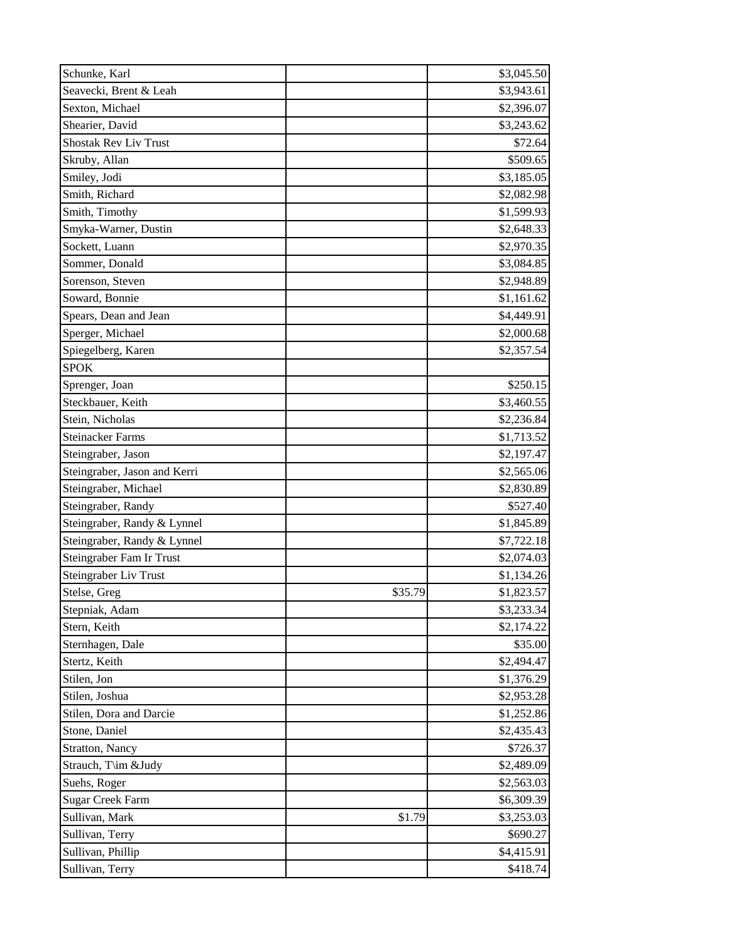| Schunke, Karl                | \$3,045.50            |         |
|------------------------------|-----------------------|---------|
| Seavecki, Brent & Leah       | \$3,943.61            |         |
| Sexton, Michael              | \$2,396.07            |         |
| Shearier, David              | \$3,243.62            |         |
| <b>Shostak Rev Liv Trust</b> |                       | \$72.64 |
| Skruby, Allan                | \$509.65              |         |
| Smiley, Jodi                 | \$3,185.05            |         |
| Smith, Richard               | \$2,082.98            |         |
| Smith, Timothy               | \$1,599.93            |         |
| Smyka-Warner, Dustin         | \$2,648.33            |         |
| Sockett, Luann               | \$2,970.35            |         |
| Sommer, Donald               | \$3,084.85            |         |
| Sorenson, Steven             | \$2,948.89            |         |
| Soward, Bonnie               | \$1,161.62            |         |
| Spears, Dean and Jean        | \$4,449.91            |         |
| Sperger, Michael             | \$2,000.68            |         |
| Spiegelberg, Karen           | \$2,357.54            |         |
| <b>SPOK</b>                  |                       |         |
| Sprenger, Joan               | \$250.15              |         |
| Steckbauer, Keith            | \$3,460.55            |         |
| Stein, Nicholas              | \$2,236.84            |         |
| <b>Steinacker Farms</b>      | \$1,713.52            |         |
| Steingraber, Jason           | \$2,197.47            |         |
| Steingraber, Jason and Kerri | \$2,565.06            |         |
| Steingraber, Michael         | \$2,830.89            |         |
| Steingraber, Randy           | \$527.40              |         |
| Steingraber, Randy & Lynnel  | \$1,845.89            |         |
| Steingraber, Randy & Lynnel  | \$7,722.18            |         |
| Steingraber Fam Ir Trust     | \$2,074.03            |         |
| Steingraber Liv Trust        | \$1,134.26            |         |
| Stelse, Greg                 | \$35.79<br>\$1,823.57 |         |
| Stepniak, Adam               | \$3,233.34            |         |
| Stern, Keith                 | \$2,174.22            |         |
| Sternhagen, Dale             |                       | \$35.00 |
| Stertz, Keith                | \$2,494.47            |         |
| Stilen, Jon                  | \$1,376.29            |         |
| Stilen, Joshua               | \$2,953.28            |         |
| Stilen, Dora and Darcie      | \$1,252.86            |         |
| Stone, Daniel                | \$2,435.43            |         |
| <b>Stratton</b> , Nancy      | \$726.37              |         |
| Strauch, T\im &Judy          | \$2,489.09            |         |
| Suehs, Roger                 | \$2,563.03            |         |
| <b>Sugar Creek Farm</b>      | \$6,309.39            |         |
| Sullivan, Mark               | \$1.79<br>\$3,253.03  |         |
| Sullivan, Terry              | \$690.27              |         |
| Sullivan, Phillip            | \$4,415.91            |         |
| Sullivan, Terry              | \$418.74              |         |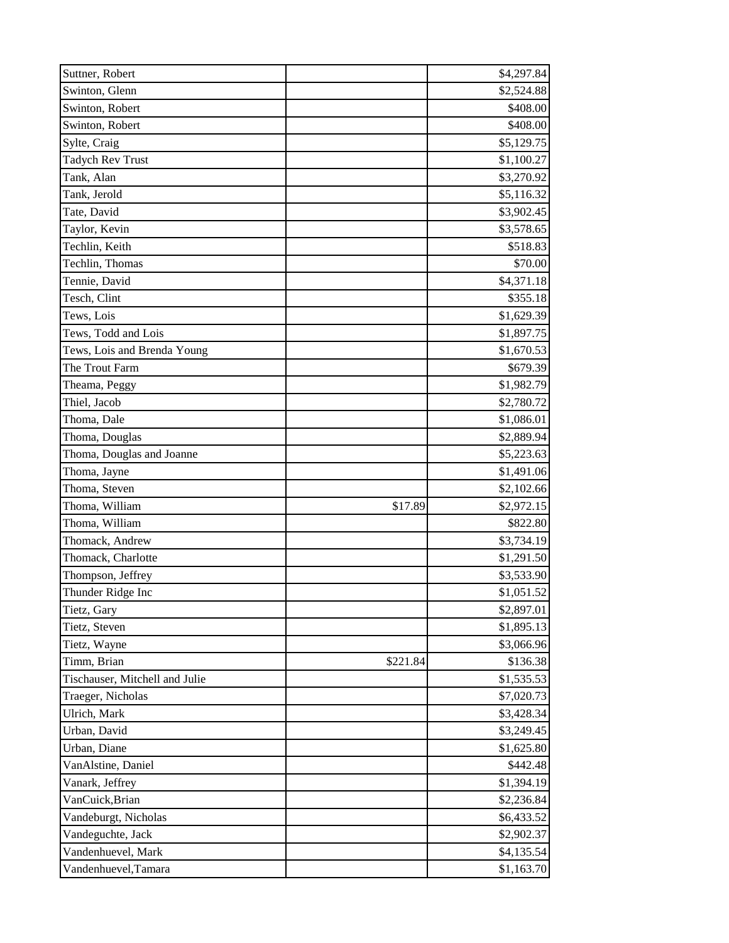| Suttner, Robert                |          | \$4,297.84 |
|--------------------------------|----------|------------|
| Swinton, Glenn                 |          | \$2,524.88 |
| Swinton, Robert                |          | \$408.00   |
| Swinton, Robert                |          | \$408.00   |
| Sylte, Craig                   |          | \$5,129.75 |
| Tadych Rev Trust               |          | \$1,100.27 |
| Tank, Alan                     |          | \$3,270.92 |
| Tank, Jerold                   |          | \$5,116.32 |
| Tate, David                    |          | \$3,902.45 |
| Taylor, Kevin                  |          | \$3,578.65 |
| Techlin, Keith                 |          | \$518.83   |
| Techlin, Thomas                |          | \$70.00    |
| Tennie, David                  |          | \$4,371.18 |
| Tesch, Clint                   |          | \$355.18   |
| Tews, Lois                     |          | \$1,629.39 |
| Tews, Todd and Lois            |          | \$1,897.75 |
| Tews, Lois and Brenda Young    |          | \$1,670.53 |
| The Trout Farm                 |          | \$679.39   |
| Theama, Peggy                  |          | \$1,982.79 |
| Thiel, Jacob                   |          | \$2,780.72 |
| Thoma, Dale                    |          | \$1,086.01 |
| Thoma, Douglas                 |          | \$2,889.94 |
| Thoma, Douglas and Joanne      |          | \$5,223.63 |
| Thoma, Jayne                   |          | \$1,491.06 |
| Thoma, Steven                  |          | \$2,102.66 |
| Thoma, William                 | \$17.89  | \$2,972.15 |
| Thoma, William                 |          | \$822.80   |
| Thomack, Andrew                |          | \$3,734.19 |
| Thomack, Charlotte             |          | \$1,291.50 |
| Thompson, Jeffrey              |          | \$3,533.90 |
| Thunder Ridge Inc              |          | \$1,051.52 |
| Tietz, Gary                    |          | \$2,897.01 |
| Tietz, Steven                  |          | \$1,895.13 |
| Tietz, Wayne                   |          | \$3,066.96 |
| Timm, Brian                    | \$221.84 | \$136.38   |
| Tischauser, Mitchell and Julie |          | \$1,535.53 |
| Traeger, Nicholas              |          | \$7,020.73 |
| Ulrich, Mark                   |          | \$3,428.34 |
| Urban, David                   |          | \$3,249.45 |
| Urban, Diane                   |          | \$1,625.80 |
| VanAlstine, Daniel             |          | \$442.48   |
| Vanark, Jeffrey                |          | \$1,394.19 |
| VanCuick, Brian                |          | \$2,236.84 |
| Vandeburgt, Nicholas           |          | \$6,433.52 |
| Vandeguchte, Jack              |          | \$2,902.37 |
| Vandenhuevel, Mark             |          | \$4,135.54 |
| Vandenhuevel, Tamara           |          | \$1,163.70 |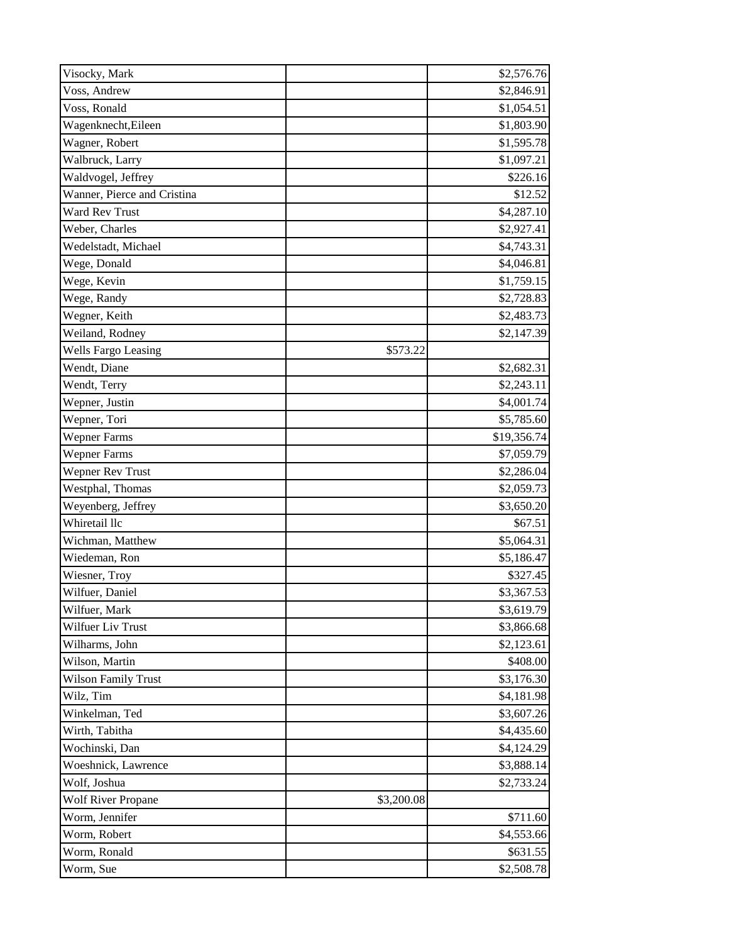| Visocky, Mark               |            | \$2,576.76  |
|-----------------------------|------------|-------------|
| Voss, Andrew                |            | \$2,846.91  |
| Voss, Ronald                |            | \$1,054.51  |
| Wagenknecht, Eileen         |            | \$1,803.90  |
| Wagner, Robert              |            | \$1,595.78  |
| Walbruck, Larry             |            | \$1,097.21  |
| Waldvogel, Jeffrey          |            | \$226.16    |
| Wanner, Pierce and Cristina |            | \$12.52     |
| Ward Rev Trust              |            | \$4,287.10  |
| Weber, Charles              |            | \$2,927.41  |
| Wedelstadt, Michael         |            | \$4,743.31  |
| Wege, Donald                |            | \$4,046.81  |
| Wege, Kevin                 |            | \$1,759.15  |
| Wege, Randy                 |            | \$2,728.83  |
| Wegner, Keith               |            | \$2,483.73  |
| Weiland, Rodney             |            | \$2,147.39  |
| <b>Wells Fargo Leasing</b>  | \$573.22   |             |
| Wendt, Diane                |            | \$2,682.31  |
| Wendt, Terry                |            | \$2,243.11  |
| Wepner, Justin              |            | \$4,001.74  |
| Wepner, Tori                |            | \$5,785.60  |
| <b>Wepner Farms</b>         |            | \$19,356.74 |
| <b>Wepner Farms</b>         |            | \$7,059.79  |
| <b>Wepner Rev Trust</b>     |            | \$2,286.04  |
| Westphal, Thomas            |            | \$2,059.73  |
| Weyenberg, Jeffrey          |            | \$3,650.20  |
| Whiretail llc               |            | \$67.51     |
| Wichman, Matthew            |            | \$5,064.31  |
| Wiedeman, Ron               |            | \$5,186.47  |
| Wiesner, Troy               |            | \$327.45    |
| Wilfuer, Daniel             |            | \$3,367.53  |
| Wilfuer, Mark               |            | \$3,619.79  |
| Wilfuer Liv Trust           |            | \$3,866.68  |
| Wilharms, John              |            | \$2,123.61  |
| Wilson, Martin              |            | \$408.00    |
| <b>Wilson Family Trust</b>  |            | \$3,176.30  |
| Wilz, Tim                   |            | \$4,181.98  |
| Winkelman, Ted              |            | \$3,607.26  |
| Wirth, Tabitha              |            | \$4,435.60  |
| Wochinski, Dan              |            | \$4,124.29  |
| Woeshnick, Lawrence         |            | \$3,888.14  |
| Wolf, Joshua                |            | \$2,733.24  |
| <b>Wolf River Propane</b>   | \$3,200.08 |             |
| Worm, Jennifer              |            | \$711.60    |
| Worm, Robert                |            | \$4,553.66  |
| Worm, Ronald                |            | \$631.55    |
| Worm, Sue                   |            | \$2,508.78  |